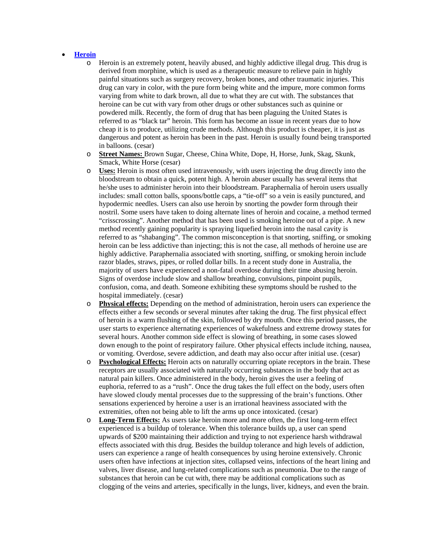## **Heroin**

- o Heroin is an extremely potent, heavily abused, and highly addictive illegal drug. This drug is derived from morphine, which is used as a therapeutic measure to relieve pain in highly painful situations such as surgery recovery, broken bones, and other traumatic injuries. This drug can vary in color, with the pure form being white and the impure, more common forms varying from white to dark brown, all due to what they are cut with. The substances that heroine can be cut with vary from other drugs or other substances such as quinine or powdered milk. Recently, the form of drug that has been plaguing the United States is referred to as "black tar" heroin. This form has become an issue in recent years due to how cheap it is to produce, utilizing crude methods. Although this product is cheaper, it is just as dangerous and potent as heroin has been in the past. Heroin is usually found being transported in balloons. (cesar)
- o **Street Names:** Brown Sugar, Cheese, China White, Dope, H, Horse, Junk, Skag, Skunk, Smack, White Horse (cesar)
- o **Uses:** Heroin is most often used intravenously, with users injecting the drug directly into the bloodstream to obtain a quick, potent high. A heroin abuser usually has several items that he/she uses to administer heroin into their bloodstream. Paraphernalia of heroin users usually includes: small cotton balls, spoons/bottle caps, a "tie-off" so a vein is easily punctured, and hypodermic needles. Users can also use heroin by snorting the powder form through their nostril. Some users have taken to doing alternate lines of heroin and cocaine, a method termed "crisscrossing". Another method that has been used is smoking heroine out of a pipe. A new method recently gaining popularity is spraying liquefied heroin into the nasal cavity is referred to as "shabanging". The common misconception is that snorting, sniffing, or smoking heroin can be less addictive than injecting; this is not the case, all methods of heroine use are highly addictive. Paraphernalia associated with snorting, sniffing, or smoking heroin include razor blades, straws, pipes, or rolled dollar bills. In a recent study done in Australia, the majority of users have experienced a non-fatal overdose during their time abusing heroin. Signs of overdose include slow and shallow breathing, convulsions, pinpoint pupils, confusion, coma, and death. Someone exhibiting these symptoms should be rushed to the hospital immediately. (cesar)
- o **Physical effects:** Depending on the method of administration, heroin users can experience the effects either a few seconds or several minutes after taking the drug. The first physical effect of heroin is a warm flushing of the skin, followed by dry mouth. Once this period passes, the user starts to experience alternating experiences of wakefulness and extreme drowsy states for several hours. Another common side effect is slowing of breathing, in some cases slowed down enough to the point of respiratory failure. Other physical effects include itching, nausea, or vomiting. Overdose, severe addiction, and death may also occur after initial use. (cesar)
- o **Psychological Effects:** Heroin acts on naturally occurring opiate receptors in the brain. These receptors are usually associated with naturally occurring substances in the body that act as natural pain killers. Once administered in the body, heroin gives the user a feeling of euphoria, referred to as a "rush". Once the drug takes the full effect on the body, users often have slowed cloudy mental processes due to the suppressing of the brain's functions. Other sensations experienced by heroine a user is an irrational heaviness associated with the extremities, often not being able to lift the arms up once intoxicated. (cesar)
- o **Long-Term Effects:** As users take heroin more and more often, the first long-term effect experienced is a buildup of tolerance. When this tolerance builds up, a user can spend upwards of \$200 maintaining their addiction and trying to not experience harsh withdrawal effects associated with this drug. Besides the buildup tolerance and high levels of addiction, users can experience a range of health consequences by using heroine extensively. Chronic users often have infections at injection sites, collapsed veins, infections of the heart lining and valves, liver disease, and lung-related complications such as pneumonia. Due to the range of substances that heroin can be cut with, there may be additional complications such as clogging of the veins and arteries, specifically in the lungs, liver, kidneys, and even the brain.